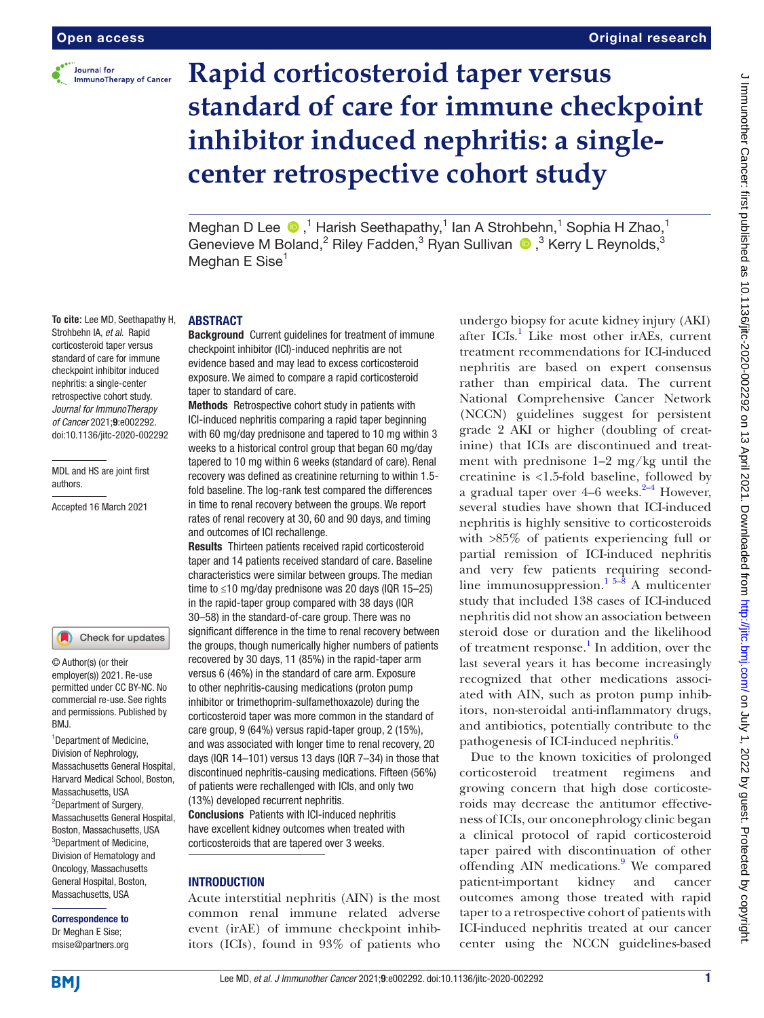

**To cite:** Lee MD, Seethapathy H, Strohbehn IA, *et al*. Rapid corticosteroid taper versus standard of care for immune checkpoint inhibitor induced nephritis: a single-center retrospective cohort study. *Journal for ImmunoTherapy of Cancer* 2021;9:e002292. doi:10.1136/jitc-2020-002292

MDL and HS are joint first

Accepted 16 March 2021

<sup>1</sup>Department of Medicine, Division of Nephrology, Massachusetts General Hospital, Harvard Medical School, Boston,

Massachusetts, USA <sup>2</sup>Department of Surgery, Massachusetts General Hospital, Boston, Massachusetts, USA <sup>3</sup>Department of Medicine, Division of Hematology and Oncology, Massachusetts General Hospital, Boston, Massachusetts, USA Correspondence to Dr Meghan E Sise; msise@partners.org

© Author(s) (or their employer(s)) 2021. Re-use permitted under CC BY-NC. No commercial re-use. See rights and permissions. Published by

Check for updates

RM<sub>J</sub>

authors.

# **Rapid corticosteroid taper versus standard of care for immune checkpoint inhibitor induced nephritis: a singlecenter retrospective cohort study**

Meghan D Lee  $\bullet$ ,<sup>1</sup> Harish Seethapathy,<sup>1</sup> Ian A Strohbehn,<sup>1</sup> Sophia H Zhao,<sup>1</sup> Genevieve M Boland,<sup>2</sup> Riley Fadden,<sup>3</sup> Ryan Sullivan  $\bullet$ ,<sup>3</sup> Kerry L Reynolds,<sup>3</sup> Meghan E Sise $<sup>1</sup>$ </sup>

#### ABSTRACT

Background Current guidelines for treatment of immune checkpoint inhibitor (ICI)-induced nephritis are not evidence based and may lead to excess corticosteroid exposure. We aimed to compare a rapid corticosteroid taper to standard of care.

Methods Retrospective cohort study in patients with ICI-induced nephritis comparing a rapid taper beginning with 60 mg/day prednisone and tapered to 10 mg within 3 weeks to a historical control group that began 60 mg/day tapered to 10 mg within 6 weeks (standard of care). Renal recovery was defined as creatinine returning to within 1.5 fold baseline. The log-rank test compared the differences in time to renal recovery between the groups. We report rates of renal recovery at 30, 60 and 90 days, and timing and outcomes of ICI rechallenge.

Results Thirteen patients received rapid corticosteroid taper and 14 patients received standard of care. Baseline characteristics were similar between groups. The median time to ≤10 mg/day prednisone was 20 days (IQR 15–25) in the rapid-taper group compared with 38 days (IQR 30–58) in the standard-of-care group. There was no significant difference in the time to renal recovery between the groups, though numerically higher numbers of patients recovered by 30 days, 11 (85%) in the rapid-taper arm versus 6 (46%) in the standard of care arm. Exposure to other nephritis-causing medications (proton pump inhibitor or trimethoprim-sulfamethoxazole) during the corticosteroid taper was more common in the standard of care group, 9 (64%) versus rapid-taper group, 2 (15%), and was associated with longer time to renal recovery, 20 days (IQR 14–101) versus 13 days (IQR 7–34) in those that discontinued nephritis-causing medications. Fifteen (56%) of patients were rechallenged with ICIs, and only two (13%) developed recurrent nephritis.

Conclusions Patients with ICI-induced nephritis have excellent kidney outcomes when treated with corticosteroids that are tapered over 3 weeks.

#### **INTRODUCTION**

Acute interstitial nephritis (AIN) is the most common renal immune related adverse event (irAE) of immune checkpoint inhibitors (ICIs), found in 93% of patients who

undergo biopsy for acute kidney injury (AKI) after ICIs.<sup>[1](#page-7-0)</sup> Like most other irAEs, current treatment recommendations for ICI-induced nephritis are based on expert consensus rather than empirical data. The current National Comprehensive Cancer Network (NCCN) guidelines suggest for persistent grade 2 AKI or higher (doubling of creatinine) that ICIs are discontinued and treatment with prednisone 1–2 mg/kg until the creatinine is <1.5-fold baseline, followed by a gradual taper over  $4-6$  weeks.<sup>2-4</sup> However, several studies have shown that ICI-induced nephritis is highly sensitive to corticosteroids with >85% of patients experiencing full or partial remission of ICI-induced nephritis and very few patients requiring secondline immunosuppression.<sup>1 5–8</sup> A multicenter study that included 138 cases of ICI-induced nephritis did not show an association between steroid dose or duration and the likelihood of treatment response.<sup>1</sup> In addition, over the last several years it has become increasingly recognized that other medications associated with AIN, such as proton pump inhibitors, non-steroidal anti-inflammatory drugs, and antibiotics, potentially contribute to the pathogenesis of ICI-induced nephritis.<sup>[6](#page-7-2)</sup>

Due to the known toxicities of prolonged corticosteroid treatment regimens and growing concern that high dose corticosteroids may decrease the antitumor effectiveness of ICIs, our onconephrology clinic began a clinical protocol of rapid corticosteroid taper paired with discontinuation of other offending AIN medications.<sup>[9](#page-7-3)</sup> We compared patient-important kidney and cancer outcomes among those treated with rapid taper to a retrospective cohort of patients with ICI-induced nephritis treated at our cancer center using the NCCN guidelines-based

**BMI**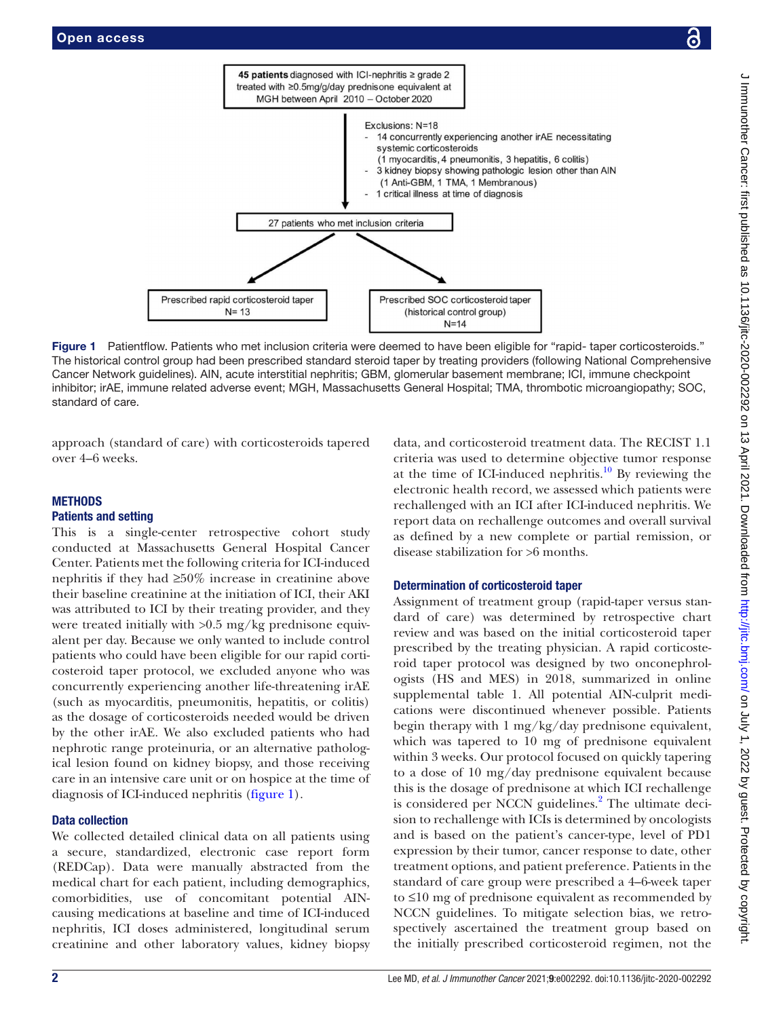

Figure 1 Patientflow. Patients who met inclusion criteria were deemed to have been eligible for "rapid- taper corticosteroids." The historical control group had been prescribed standard steroid taper by treating providers (following National Comprehensive Cancer Network guidelines). AIN, acute interstitial nephritis; GBM, glomerular basement membrane; ICI, immune checkpoint inhibitor; irAE, immune related adverse event; MGH, Massachusetts General Hospital; TMA, thrombotic microangiopathy; SOC, standard of care.

45 patients diagnosed with ICI-nephritis ≥ grade 2

approach (standard of care) with corticosteroids tapered over 4–6 weeks.

<span id="page-1-0"></span>Prescribed rapid corticosteroid taper  $N = 13$ 

# **METHODS**

# Patients and setting

This is a single-center retrospective cohort study conducted at Massachusetts General Hospital Cancer Center. Patients met the following criteria for ICI-induced nephritis if they had ≥50% increase in creatinine above their baseline creatinine at the initiation of ICI, their AKI was attributed to ICI by their treating provider, and they were treated initially with >0.5 mg/kg prednisone equivalent per day. Because we only wanted to include control patients who could have been eligible for our rapid corticosteroid taper protocol, we excluded anyone who was concurrently experiencing another life-threatening irAE (such as myocarditis, pneumonitis, hepatitis, or colitis) as the dosage of corticosteroids needed would be driven by the other irAE. We also excluded patients who had nephrotic range proteinuria, or an alternative pathological lesion found on kidney biopsy, and those receiving care in an intensive care unit or on hospice at the time of diagnosis of ICI-induced nephritis ([figure](#page-1-0) 1).

# Data collection

We collected detailed clinical data on all patients using a secure, standardized, electronic case report form (REDCap). Data were manually abstracted from the medical chart for each patient, including demographics, comorbidities, use of concomitant potential AINcausing medications at baseline and time of ICI-induced nephritis, ICI doses administered, longitudinal serum creatinine and other laboratory values, kidney biopsy

data, and corticosteroid treatment data. The RECIST 1.1 criteria was used to determine objective tumor response at the time of ICI-induced nephritis.<sup>10</sup> By reviewing the electronic health record, we assessed which patients were rechallenged with an ICI after ICI-induced nephritis. We report data on rechallenge outcomes and overall survival as defined by a new complete or partial remission, or disease stabilization for >6 months.

# Determination of corticosteroid taper

Assignment of treatment group (rapid-taper versus standard of care) was determined by retrospective chart review and was based on the initial corticosteroid taper prescribed by the treating physician. A rapid corticosteroid taper protocol was designed by two onconephrologists (HS and MES) in 2018, summarized in [online](https://dx.doi.org/10.1136/jitc-2020-002292)  [supplemental table 1](https://dx.doi.org/10.1136/jitc-2020-002292). All potential AIN-culprit medications were discontinued whenever possible. Patients begin therapy with 1 mg/kg/day prednisone equivalent, which was tapered to 10 mg of prednisone equivalent within 3 weeks. Our protocol focused on quickly tapering to a dose of 10 mg/day prednisone equivalent because this is the dosage of prednisone at which ICI rechallenge is considered per NCCN guidelines.<sup>[2](#page-7-1)</sup> The ultimate decision to rechallenge with ICIs is determined by oncologists and is based on the patient's cancer-type, level of PD1 expression by their tumor, cancer response to date, other treatment options, and patient preference. Patients in the standard of care group were prescribed a 4–6-week taper to ≤10 mg of prednisone equivalent as recommended by NCCN guidelines. To mitigate selection bias, we retrospectively ascertained the treatment group based on the initially prescribed corticosteroid regimen, not the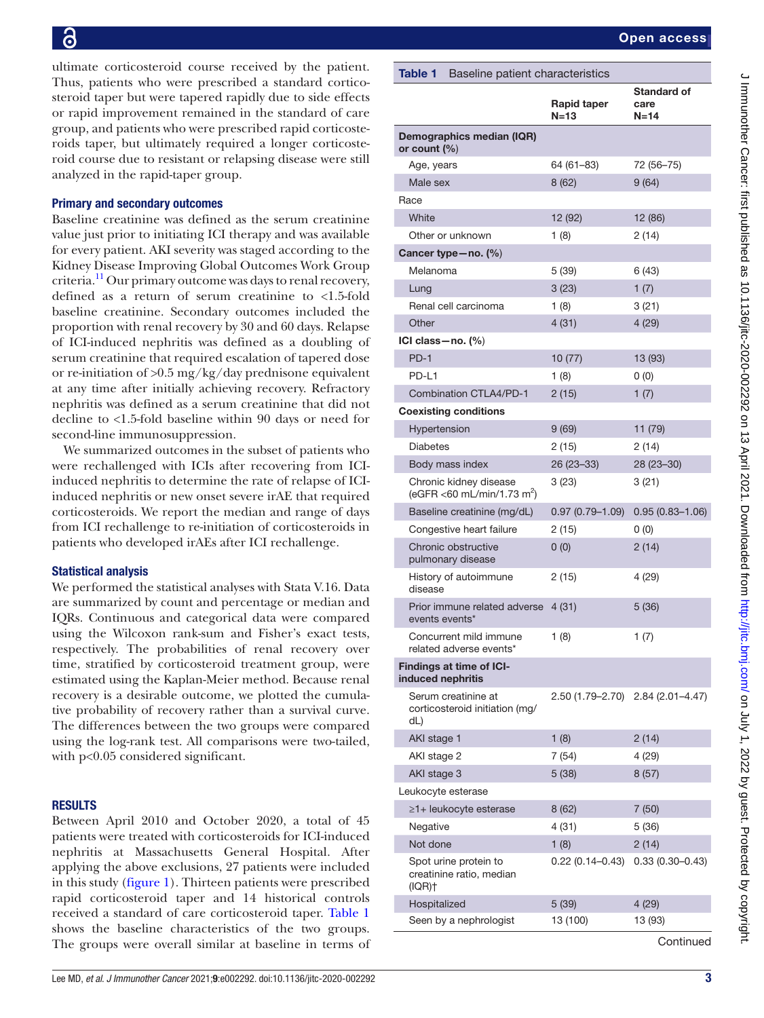ultimate corticosteroid course received by the patient. Thus, patients who were prescribed a standard corticosteroid taper but were tapered rapidly due to side effects or rapid improvement remained in the standard of care group, and patients who were prescribed rapid corticosteroids taper, but ultimately required a longer corticosteroid course due to resistant or relapsing disease were still analyzed in the rapid-taper group.

# Primary and secondary outcomes

Baseline creatinine was defined as the serum creatinine value just prior to initiating ICI therapy and was available for every patient. AKI severity was staged according to the Kidney Disease Improving Global Outcomes Work Group criteria[.11](#page-7-5) Our primary outcome was days to renal recovery, defined as a return of serum creatinine to <1.5-fold baseline creatinine. Secondary outcomes included the proportion with renal recovery by 30 and 60 days. Relapse of ICI-induced nephritis was defined as a doubling of serum creatinine that required escalation of tapered dose or re-initiation of >0.5 mg/kg/day prednisone equivalent at any time after initially achieving recovery. Refractory nephritis was defined as a serum creatinine that did not decline to <1.5-fold baseline within 90 days or need for second-line immunosuppression.

We summarized outcomes in the subset of patients who were rechallenged with ICIs after recovering from ICIinduced nephritis to determine the rate of relapse of ICIinduced nephritis or new onset severe irAE that required corticosteroids. We report the median and range of days from ICI rechallenge to re-initiation of corticosteroids in patients who developed irAEs after ICI rechallenge.

# Statistical analysis

We performed the statistical analyses with Stata V.16. Data are summarized by count and percentage or median and IQRs. Continuous and categorical data were compared using the Wilcoxon rank-sum and Fisher's exact tests, respectively. The probabilities of renal recovery over time, stratified by corticosteroid treatment group, were estimated using the Kaplan-Meier method. Because renal recovery is a desirable outcome, we plotted the cumulative probability of recovery rather than a survival curve. The differences between the two groups were compared using the log-rank test. All comparisons were two-tailed, with p<0.05 considered significant.

#### **RESULTS**

Between April 2010 and October 2020, a total of 45 patients were treated with corticosteroids for ICI-induced nephritis at Massachusetts General Hospital. After applying the above exclusions, 27 patients were included in this study ([figure](#page-1-0) 1). Thirteen patients were prescribed rapid corticosteroid taper and 14 historical controls received a standard of care corticosteroid taper. [Table](#page-2-0) 1 shows the baseline characteristics of the two groups. The groups were overall similar at baseline in terms of

<span id="page-2-0"></span>

| Table 1 Baseline patient characteristics                         |                              |                                    |  |  |
|------------------------------------------------------------------|------------------------------|------------------------------------|--|--|
|                                                                  | <b>Rapid taper</b><br>$N=13$ | <b>Standard of</b><br>care<br>N=14 |  |  |
| Demographics median (IQR)<br>or count $(\% )$                    |                              |                                    |  |  |
| Age, years                                                       | 64 (61–83)                   | 72 (56-75)                         |  |  |
| Male sex                                                         | 8(62)                        | 9(64)                              |  |  |
| Race                                                             |                              |                                    |  |  |
| White                                                            | 12 (92)                      | 12 (86)                            |  |  |
| Other or unknown                                                 | 1(8)                         | 2(14)                              |  |  |
| Cancer type – no. (%)                                            |                              |                                    |  |  |
| Melanoma                                                         | 5(39)                        | 6(43)                              |  |  |
| Lung                                                             | 3(23)                        | 1(7)                               |  |  |
| Renal cell carcinoma                                             | 1(8)                         | 3(21)                              |  |  |
| Other                                                            | 4(31)                        | 4(29)                              |  |  |
| ICI class-no. (%)                                                |                              |                                    |  |  |
| $PD-1$                                                           | 10(77)                       | 13 (93)                            |  |  |
| <b>PD-11</b>                                                     | 1 $(8)$                      | 0(0)                               |  |  |
| <b>Combination CTLA4/PD-1</b>                                    | 2(15)                        | 1 $(7)$                            |  |  |
| <b>Coexisting conditions</b>                                     |                              |                                    |  |  |
| Hypertension                                                     | 9(69)                        | 11 (79)                            |  |  |
| <b>Diabetes</b>                                                  | 2(15)                        | 2 (14)                             |  |  |
| Body mass index                                                  | 26 (23-33)                   | 28 (23-30)                         |  |  |
| Chronic kidney disease<br>(eGFR <60 mL/min/1.73 m <sup>2</sup> ) | 3 (23)                       | 3(21)                              |  |  |
| Baseline creatinine (mg/dL)                                      | $0.97(0.79 - 1.09)$          | $0.95(0.83 - 1.06)$                |  |  |
| Congestive heart failure                                         | 2(15)                        | 0(0)                               |  |  |
| Chronic obstructive<br>pulmonary disease                         | 0(0)                         | 2(14)                              |  |  |
| History of autoimmune<br>disease                                 | 2 (15)                       | 4 (29)                             |  |  |
| Prior immune related adverse<br>events events*                   | 4 (31)                       | 5(36)                              |  |  |
| Concurrent mild immune<br>related adverse events*                | 1 (8)                        | 1(7)                               |  |  |
| <b>Findings at time of ICI-</b><br>induced nephritis             |                              |                                    |  |  |
| Serum creatinine at<br>corticosteroid initiation (mg/<br>dL)     | 2.50 (1.79–2.70)             | $2.84(2.01 - 4.47)$                |  |  |
| AKI stage 1                                                      | 1(8)                         | 2(14)                              |  |  |
| AKI stage 2                                                      | 7(54)                        | 4 (29)                             |  |  |
| AKI stage 3                                                      | 5(38)                        | 8(57)                              |  |  |
| Leukocyte esterase                                               |                              |                                    |  |  |
| ≥1+ leukocyte esterase                                           | 8(62)                        | 7(50)                              |  |  |
| Negative                                                         | 4(31)                        | 5 (36)                             |  |  |
| Not done                                                         | 1(8)                         | 2(14)                              |  |  |
| Spot urine protein to<br>creatinine ratio, median<br>(IQR)†      | $0.22(0.14-0.43)$            | $0.33(0.30 - 0.43)$                |  |  |
| Hospitalized                                                     | 5(39)                        | 4(29)                              |  |  |
| Seen by a nephrologist                                           | 13 (100)                     | 13 (93)                            |  |  |

**Continued**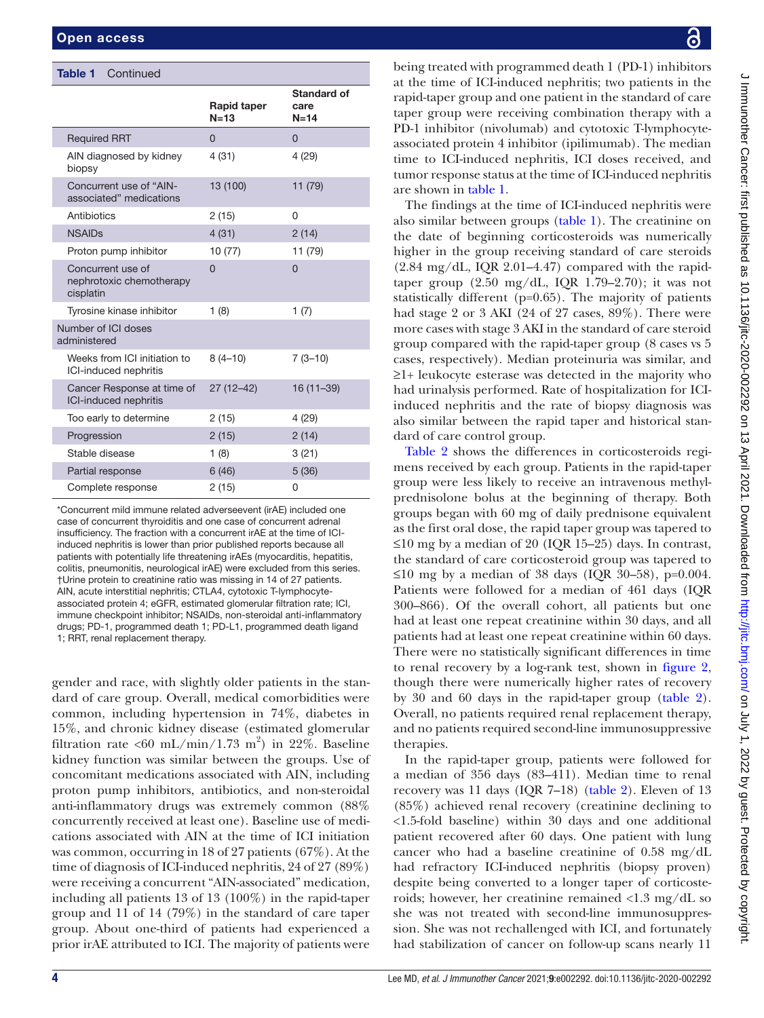| <b>Table 1</b> | Continued |
|----------------|-----------|
|----------------|-----------|

|                                                            | Rapid taper<br>$N=13$ | Standard of<br>care<br>$N=14$ |
|------------------------------------------------------------|-----------------------|-------------------------------|
| <b>Required RRT</b>                                        | $\Omega$              | $\Omega$                      |
| AIN diagnosed by kidney<br>biopsy                          | 4(31)                 | 4(29)                         |
| Concurrent use of "AIN-<br>associated" medications         | 13 (100)              | 11 (79)                       |
| Antibiotics                                                | 2(15)                 | 0                             |
| <b>NSAIDs</b>                                              | 4(31)                 | 2(14)                         |
| Proton pump inhibitor                                      | 10(77)                | 11 (79)                       |
| Concurrent use of<br>nephrotoxic chemotherapy<br>cisplatin | $\Omega$              | $\Omega$                      |
| Tyrosine kinase inhibitor                                  | 1(8)                  | 1(7)                          |
| Number of ICI doses<br>administered                        |                       |                               |
| Weeks from ICI initiation to<br>ICI-induced nephritis      | $8(4 - 10)$           | $7(3-10)$                     |
| Cancer Response at time of<br><b>ICI-induced nephritis</b> | $27(12-42)$           | 16 (11-39)                    |
| Too early to determine                                     | 2(15)                 | 4(29)                         |
| Progression                                                | 2(15)                 | 2(14)                         |
| Stable disease                                             | 1(8)                  | 3(21)                         |
| Partial response                                           | 6(46)                 | 5(36)                         |
| Complete response                                          | 2(15)                 | 0                             |

\*Concurrent mild immune related adverseevent (irAE) included one case of concurrent thyroiditis and one case of concurrent adrenal insufficiency. The fraction with a concurrent irAE at the time of ICIinduced nephritis is lower than prior published reports because all patients with potentially life threatening irAEs (myocarditis, hepatitis, colitis, pneumonitis, neurological irAE) were excluded from this series. †Urine protein to creatinine ratio was missing in 14 of 27 patients. AIN, acute interstitial nephritis; CTLA4, cytotoxic T-lymphocyteassociated protein 4; eGFR, estimated glomerular filtration rate; ICI, immune checkpoint inhibitor; NSAIDs, non-steroidal anti-inflammatory drugs; PD-1, programmed death 1; PD-L1, programmed death ligand 1; RRT, renal replacement therapy.

gender and race, with slightly older patients in the standard of care group. Overall, medical comorbidities were common, including hypertension in 74%, diabetes in 15%, and chronic kidney disease (estimated glomerular filtration rate <60 mL/min/1.73 m<sup>2</sup>) in 22%. Baseline kidney function was similar between the groups. Use of concomitant medications associated with AIN, including proton pump inhibitors, antibiotics, and non-steroidal anti-inflammatory drugs was extremely common (88% concurrently received at least one). Baseline use of medications associated with AIN at the time of ICI initiation was common, occurring in 18 of 27 patients (67%). At the time of diagnosis of ICI-induced nephritis, 24 of 27 (89%) were receiving a concurrent "AIN-associated" medication, including all patients 13 of 13 (100%) in the rapid-taper group and 11 of 14 (79%) in the standard of care taper group. About one-third of patients had experienced a prior irAE attributed to ICI. The majority of patients were

being treated with programmed death 1 (PD-1) inhibitors at the time of ICI-induced nephritis; two patients in the rapid-taper group and one patient in the standard of care taper group were receiving combination therapy with a PD-1 inhibitor (nivolumab) and cytotoxic T-lymphocyteassociated protein 4 inhibitor (ipilimumab). The median time to ICI-induced nephritis, ICI doses received, and tumor response status at the time of ICI-induced nephritis are shown in [table](#page-2-0) 1.

The findings at the time of ICI-induced nephritis were also similar between groups ([table](#page-2-0) 1). The creatinine on the date of beginning corticosteroids was numerically higher in the group receiving standard of care steroids  $(2.84 \text{ mg/dL}, IQR 2.01–4.47)$  compared with the rapidtaper group  $(2.50 \text{ mg/dL}, IQR 1.79-2.70)$ ; it was not statistically different (p=0.65). The majority of patients had stage 2 or 3 AKI (24 of 27 cases, 89%). There were more cases with stage 3 AKI in the standard of care steroid group compared with the rapid-taper group (8 cases vs 5 cases, respectively). Median proteinuria was similar, and ≥1+ leukocyte esterase was detected in the majority who had urinalysis performed. Rate of hospitalization for ICIinduced nephritis and the rate of biopsy diagnosis was also similar between the rapid taper and historical standard of care control group.

[Table](#page-4-0) 2 shows the differences in corticosteroids regimens received by each group. Patients in the rapid-taper group were less likely to receive an intravenous methylprednisolone bolus at the beginning of therapy. Both groups began with 60 mg of daily prednisone equivalent as the first oral dose, the rapid taper group was tapered to ≤10 mg by a median of 20 (IQR 15–25) days. In contrast, the standard of care corticosteroid group was tapered to ≤10 mg by a median of 38 days (IQR 30–58), p=0.004. Patients were followed for a median of 461 days (IQR 300–866). Of the overall cohort, all patients but one had at least one repeat creatinine within 30 days, and all patients had at least one repeat creatinine within 60 days. There were no statistically significant differences in time to renal recovery by a log-rank test, shown in [figure](#page-5-0) 2, though there were numerically higher rates of recovery by 30 and 60 days in the rapid-taper group ([table](#page-4-0) 2). Overall, no patients required renal replacement therapy, and no patients required second-line immunosuppressive therapies.

In the rapid-taper group, patients were followed for a median of 356 days (83–411). Median time to renal recovery was 11 days (IQR 7–18) [\(table](#page-4-0) 2). Eleven of 13 (85%) achieved renal recovery (creatinine declining to <1.5-fold baseline) within 30 days and one additional patient recovered after 60 days. One patient with lung cancer who had a baseline creatinine of 0.58 mg/dL had refractory ICI-induced nephritis (biopsy proven) despite being converted to a longer taper of corticosteroids; however, her creatinine remained <1.3 mg/dL so she was not treated with second-line immunosuppression. She was not rechallenged with ICI, and fortunately had stabilization of cancer on follow-up scans nearly 11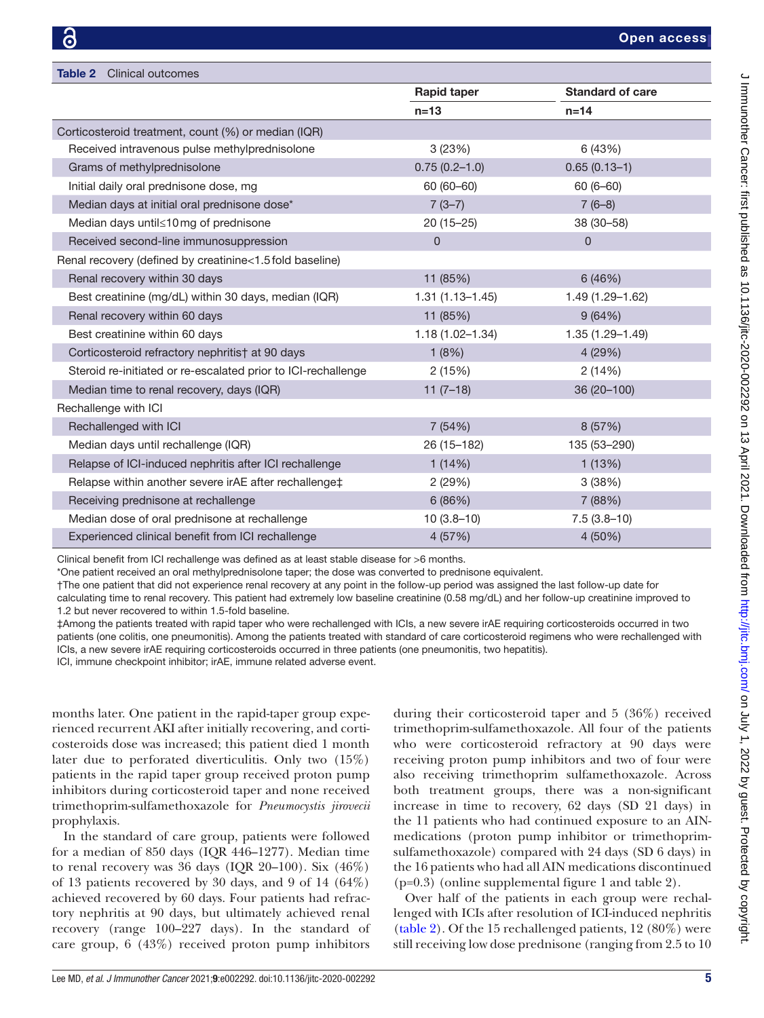<span id="page-4-0"></span>

| <b>Table 2</b> Clinical outcomes                              |                              |                         |  |
|---------------------------------------------------------------|------------------------------|-------------------------|--|
|                                                               | <b>Rapid taper</b><br>$n=13$ | <b>Standard of care</b> |  |
|                                                               |                              | $n=14$                  |  |
| Corticosteroid treatment, count (%) or median (IQR)           |                              |                         |  |
| Received intravenous pulse methylprednisolone                 | 3(23%)                       | 6 (43%)                 |  |
| Grams of methylprednisolone                                   | $0.75(0.2 - 1.0)$            | $0.65(0.13-1)$          |  |
| Initial daily oral prednisone dose, mg                        | $60(60 - 60)$                | $60(6 - 60)$            |  |
| Median days at initial oral prednisone dose*                  | $7(3-7)$                     | $7(6-8)$                |  |
| Median days until≤10 mg of prednisone                         | $20(15-25)$                  | 38 (30-58)              |  |
| Received second-line immunosuppression                        | 0                            | $\Omega$                |  |
| Renal recovery (defined by creatinine<1.5 fold baseline)      |                              |                         |  |
| Renal recovery within 30 days                                 | 11 (85%)                     | 6(46%)                  |  |
| Best creatinine (mg/dL) within 30 days, median (IQR)          | $1.31(1.13 - 1.45)$          | 1.49 (1.29-1.62)        |  |
| Renal recovery within 60 days                                 | 11 (85%)                     | 9(64%)                  |  |
| Best creatinine within 60 days                                | $1.18(1.02 - 1.34)$          | 1.35 (1.29-1.49)        |  |
| Corticosteroid refractory nephritis† at 90 days               | 1(8%)                        | 4(29%)                  |  |
| Steroid re-initiated or re-escalated prior to ICI-rechallenge | 2(15%)                       | 2(14%)                  |  |
| Median time to renal recovery, days (IQR)                     | $11(7-18)$                   | 36 (20-100)             |  |
| Rechallenge with ICI                                          |                              |                         |  |
| Rechallenged with ICI                                         | 7(54%)                       | 8(57%)                  |  |
| Median days until rechallenge (IQR)                           | 26 (15-182)                  | 135 (53-290)            |  |
| Relapse of ICI-induced nephritis after ICI rechallenge        | 1(14%)                       | 1(13%)                  |  |
| Relapse within another severe irAE after rechallenge‡         | 2(29%)                       | 3(38%)                  |  |
| Receiving prednisone at rechallenge                           | 6(86%)                       | 7 (88%)                 |  |
| Median dose of oral prednisone at rechallenge                 | $10(3.8-10)$                 | $7.5(3.8-10)$           |  |
| Experienced clinical benefit from ICI rechallenge             | 4(57%)                       | 4 (50%)                 |  |

Clinical benefit from ICI rechallenge was defined as at least stable disease for >6 months.

\*One patient received an oral methylprednisolone taper; the dose was converted to prednisone equivalent.

†The one patient that did not experience renal recovery at any point in the follow-up period was assigned the last follow-up date for

calculating time to renal recovery. This patient had extremely low baseline creatinine (0.58 mg/dL) and her follow-up creatinine improved to 1.2 but never recovered to within 1.5-fold baseline.

‡Among the patients treated with rapid taper who were rechallenged with ICIs, a new severe irAE requiring corticosteroids occurred in two patients (one colitis, one pneumonitis). Among the patients treated with standard of care corticosteroid regimens who were rechallenged with ICIs, a new severe irAE requiring corticosteroids occurred in three patients (one pneumonitis, two hepatitis).

ICI, immune checkpoint inhibitor; irAE, immune related adverse event.

months later. One patient in the rapid-taper group experienced recurrent AKI after initially recovering, and corticosteroids dose was increased; this patient died 1 month later due to perforated diverticulitis. Only two (15%) patients in the rapid taper group received proton pump inhibitors during corticosteroid taper and none received trimethoprim-sulfamethoxazole for *Pneumocystis jirovecii* prophylaxis.

In the standard of care group, patients were followed for a median of 850 days (IQR 446–1277). Median time to renal recovery was 36 days (IQR 20-100). Six  $(46\%)$ of 13 patients recovered by 30 days, and 9 of 14 (64%) achieved recovered by 60 days. Four patients had refractory nephritis at 90 days, but ultimately achieved renal recovery (range 100–227 days). In the standard of care group, 6 (43%) received proton pump inhibitors

during their corticosteroid taper and 5 (36%) received trimethoprim-sulfamethoxazole. All four of the patients who were corticosteroid refractory at 90 days were receiving proton pump inhibitors and two of four were also receiving trimethoprim sulfamethoxazole. Across both treatment groups, there was a non-significant increase in time to recovery, 62 days (SD 21 days) in the 11 patients who had continued exposure to an AINmedications (proton pump inhibitor or trimethoprimsulfamethoxazole) compared with 24 days (SD 6 days) in the 16 patients who had all AIN medications discontinued (p=0.3) ([online supplemental figure 1 and table 2](https://dx.doi.org/10.1136/jitc-2020-002292)).

Over half of the patients in each group were rechallenged with ICIs after resolution of ICI-induced nephritis [\(table](#page-4-0) 2). Of the 15 rechallenged patients, 12 (80%) were still receiving low dose prednisone (ranging from 2.5 to 10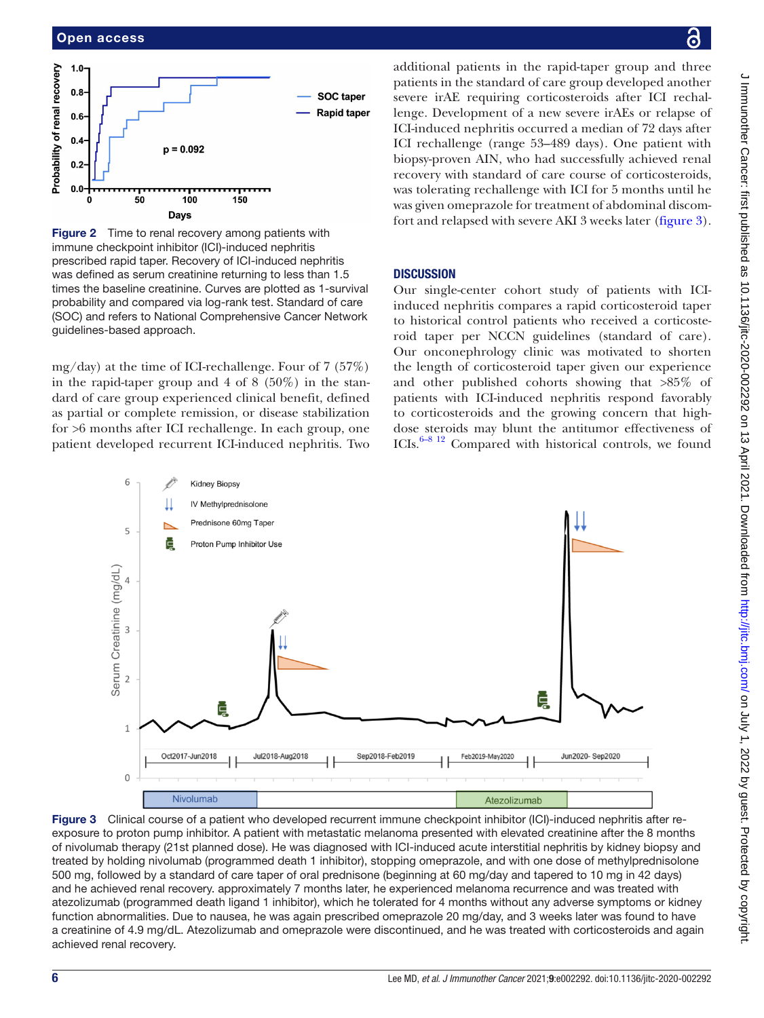

<span id="page-5-0"></span>**Figure 2** Time to renal recovery among patients with immune checkpoint inhibitor (ICI)-induced nephritis prescribed rapid taper. Recovery of ICI-induced nephritis was defined as serum creatinine returning to less than 1.5 times the baseline creatinine. Curves are plotted as 1-survival probability and compared via log-rank test. Standard of care (SOC) and refers to National Comprehensive Cancer Network guidelines-based approach.

mg/day) at the time of ICI-rechallenge. Four of 7 (57%) in the rapid-taper group and 4 of 8  $(50\%)$  in the standard of care group experienced clinical benefit, defined as partial or complete remission, or disease stabilization for >6 months after ICI rechallenge. In each group, one patient developed recurrent ICI-induced nephritis. Two

additional patients in the rapid-taper group and three patients in the standard of care group developed another severe irAE requiring corticosteroids after ICI rechallenge. Development of a new severe irAEs or relapse of ICI-induced nephritis occurred a median of 72 days after ICI rechallenge (range 53–489 days). One patient with biopsy-proven AIN, who had successfully achieved renal recovery with standard of care course of corticosteroids, was tolerating rechallenge with ICI for 5 months until he was given omeprazole for treatment of abdominal discomfort and relapsed with severe AKI 3 weeks later [\(figure](#page-5-1) 3).

# **DISCUSSION**

Our single-center cohort study of patients with ICIinduced nephritis compares a rapid corticosteroid taper to historical control patients who received a corticosteroid taper per NCCN guidelines (standard of care). Our onconephrology clinic was motivated to shorten the length of corticosteroid taper given our experience and other published cohorts showing that >85% of patients with ICI-induced nephritis respond favorably to corticosteroids and the growing concern that highdose steroids may blunt the antitumor effectiveness of ICIs[.6–8 12](#page-7-2) Compared with historical controls, we found



<span id="page-5-1"></span>Figure 3 Clinical course of a patient who developed recurrent immune checkpoint inhibitor (ICI)-induced nephritis after reexposure to proton pump inhibitor. A patient with metastatic melanoma presented with elevated creatinine after the 8 months of nivolumab therapy (21st planned dose). He was diagnosed with ICI-induced acute interstitial nephritis by kidney biopsy and treated by holding nivolumab (programmed death 1 inhibitor), stopping omeprazole, and with one dose of methylprednisolone 500 mg, followed by a standard of care taper of oral prednisone (beginning at 60 mg/day and tapered to 10 mg in 42 days) and he achieved renal recovery. approximately 7 months later, he experienced melanoma recurrence and was treated with atezolizumab (programmed death ligand 1 inhibitor), which he tolerated for 4 months without any adverse symptoms or kidney function abnormalities. Due to nausea, he was again prescribed omeprazole 20 mg/day, and 3 weeks later was found to have a creatinine of 4.9 mg/dL. Atezolizumab and omeprazole were discontinued, and he was treated with corticosteroids and again achieved renal recovery.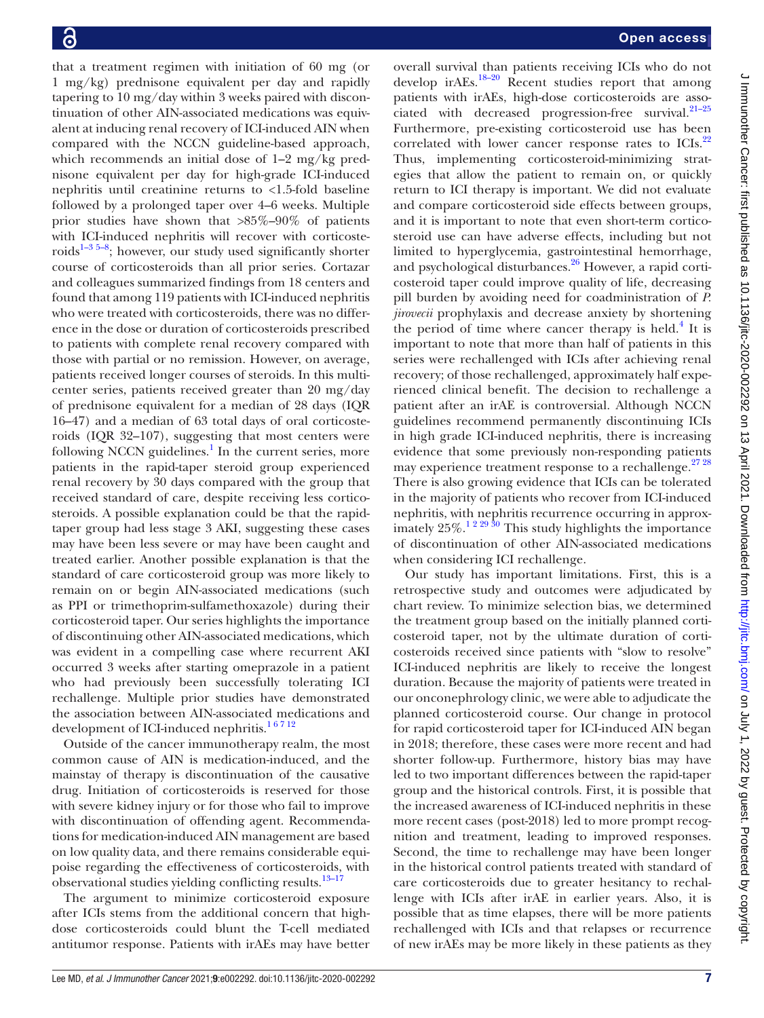that a treatment regimen with initiation of 60 mg (or 1 mg/kg) prednisone equivalent per day and rapidly tapering to 10 mg/day within 3 weeks paired with discontinuation of other AIN-associated medications was equivalent at inducing renal recovery of ICI-induced AIN when compared with the NCCN guideline-based approach, which recommends an initial dose of 1–2 mg/kg prednisone equivalent per day for high-grade ICI-induced nephritis until creatinine returns to <1.5-fold baseline followed by a prolonged taper over 4–6 weeks. Multiple prior studies have shown that >85%–90% of patients with ICI-induced nephritis will recover with corticosteroids<sup>1-3 5-8</sup>; however, our study used significantly shorter course of corticosteroids than all prior series. Cortazar and colleagues summarized findings from 18 centers and found that among 119 patients with ICI-induced nephritis who were treated with corticosteroids, there was no difference in the dose or duration of corticosteroids prescribed to patients with complete renal recovery compared with those with partial or no remission. However, on average, patients received longer courses of steroids. In this multicenter series, patients received greater than 20 mg/day of prednisone equivalent for a median of 28 days (IQR 16–47) and a median of 63 total days of oral corticosteroids (IQR 32–107), suggesting that most centers were following NCCN guidelines.<sup>[1](#page-7-0)</sup> In the current series, more patients in the rapid-taper steroid group experienced renal recovery by 30 days compared with the group that received standard of care, despite receiving less corticosteroids. A possible explanation could be that the rapidtaper group had less stage 3 AKI, suggesting these cases may have been less severe or may have been caught and treated earlier. Another possible explanation is that the standard of care corticosteroid group was more likely to remain on or begin AIN-associated medications (such as PPI or trimethoprim-sulfamethoxazole) during their corticosteroid taper. Our series highlights the importance of discontinuing other AIN-associated medications, which was evident in a compelling case where recurrent AKI occurred 3 weeks after starting omeprazole in a patient who had previously been successfully tolerating ICI rechallenge. Multiple prior studies have demonstrated the association between AIN-associated medications and development of ICI-induced nephritis.<sup>16712</sup>

Outside of the cancer immunotherapy realm, the most common cause of AIN is medication-induced, and the mainstay of therapy is discontinuation of the causative drug. Initiation of corticosteroids is reserved for those with severe kidney injury or for those who fail to improve with discontinuation of offending agent. Recommendations for medication-induced AIN management are based on low quality data, and there remains considerable equipoise regarding the effectiveness of corticosteroids, with observational studies yielding conflicting results.<sup>[13–17](#page-7-6)</sup>

The argument to minimize corticosteroid exposure after ICIs stems from the additional concern that highdose corticosteroids could blunt the T-cell mediated antitumor response. Patients with irAEs may have better

overall survival than patients receiving ICIs who do not develop ir $AEs$ .<sup>18–20</sup> Recent studies report that among patients with irAEs, high-dose corticosteroids are associated with decreased progression-free survival. $21-25$ Furthermore, pre-existing corticosteroid use has been correlated with lower cancer response rates to ICIs.<sup>[22](#page-8-2)</sup> Thus, implementing corticosteroid-minimizing strategies that allow the patient to remain on, or quickly return to ICI therapy is important. We did not evaluate and compare corticosteroid side effects between groups, and it is important to note that even short-term corticosteroid use can have adverse effects, including but not limited to hyperglycemia, gastrointestinal hemorrhage, and psychological disturbances. $^{26}$  $^{26}$  $^{26}$  However, a rapid corticosteroid taper could improve quality of life, decreasing pill burden by avoiding need for coadministration of *P. jirovecii* prophylaxis and decrease anxiety by shortening the period of time where cancer therapy is held. $4$  It is important to note that more than half of patients in this series were rechallenged with ICIs after achieving renal recovery; of those rechallenged, approximately half experienced clinical benefit. The decision to rechallenge a patient after an irAE is controversial. Although NCCN guidelines recommend permanently discontinuing ICIs in high grade ICI-induced nephritis, there is increasing evidence that some previously non-responding patients may experience treatment response to a rechallenge.<sup>27 28</sup> There is also growing evidence that ICIs can be tolerated in the majority of patients who recover from ICI-induced nephritis, with nephritis recurrence occurring in approximately  $25\%$ .<sup>1 2 29 30</sup> This study highlights the importance of discontinuation of other AIN-associated medications when considering ICI rechallenge.

Our study has important limitations. First, this is a retrospective study and outcomes were adjudicated by chart review. To minimize selection bias, we determined the treatment group based on the initially planned corticosteroid taper, not by the ultimate duration of corticosteroids received since patients with "slow to resolve" ICI-induced nephritis are likely to receive the longest duration. Because the majority of patients were treated in our onconephrology clinic, we were able to adjudicate the planned corticosteroid course. Our change in protocol for rapid corticosteroid taper for ICI-induced AIN began in 2018; therefore, these cases were more recent and had shorter follow-up. Furthermore, history bias may have led to two important differences between the rapid-taper group and the historical controls. First, it is possible that the increased awareness of ICI-induced nephritis in these more recent cases (post-2018) led to more prompt recognition and treatment, leading to improved responses. Second, the time to rechallenge may have been longer in the historical control patients treated with standard of care corticosteroids due to greater hesitancy to rechallenge with ICIs after irAE in earlier years. Also, it is possible that as time elapses, there will be more patients rechallenged with ICIs and that relapses or recurrence of new irAEs may be more likely in these patients as they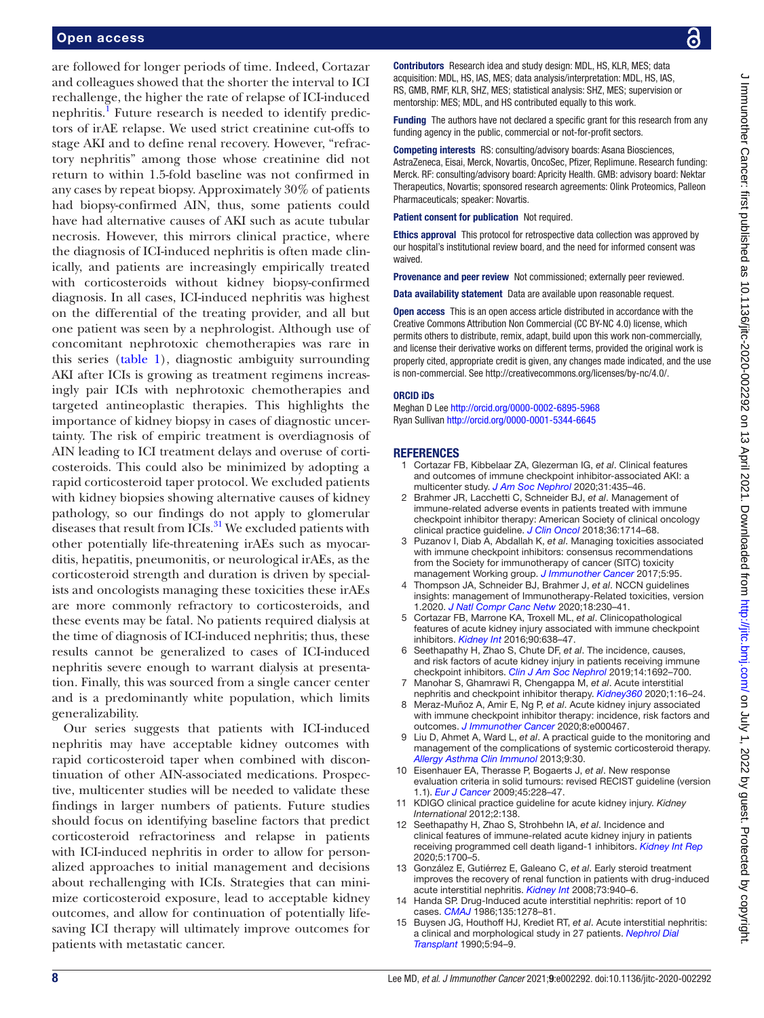are followed for longer periods of time. Indeed, Cortazar and colleagues showed that the shorter the interval to ICI rechallenge, the higher the rate of relapse of ICI-induced nephritis.<sup>I</sup> Future research is needed to identify predictors of irAE relapse. We used strict creatinine cut-offs to stage AKI and to define renal recovery. However, "refractory nephritis" among those whose creatinine did not return to within 1.5-fold baseline was not confirmed in any cases by repeat biopsy. Approximately 30% of patients had biopsy-confirmed AIN, thus, some patients could have had alternative causes of AKI such as acute tubular necrosis. However, this mirrors clinical practice, where the diagnosis of ICI-induced nephritis is often made clinically, and patients are increasingly empirically treated with corticosteroids without kidney biopsy-confirmed diagnosis. In all cases, ICI-induced nephritis was highest on the differential of the treating provider, and all but one patient was seen by a nephrologist. Although use of concomitant nephrotoxic chemotherapies was rare in this series ([table](#page-2-0) 1), diagnostic ambiguity surrounding AKI after ICIs is growing as treatment regimens increasingly pair ICIs with nephrotoxic chemotherapies and targeted antineoplastic therapies. This highlights the importance of kidney biopsy in cases of diagnostic uncertainty. The risk of empiric treatment is overdiagnosis of AIN leading to ICI treatment delays and overuse of corticosteroids. This could also be minimized by adopting a rapid corticosteroid taper protocol. We excluded patients with kidney biopsies showing alternative causes of kidney pathology, so our findings do not apply to glomerular diseases that result from ICIs.<sup>[31](#page-8-5)</sup> We excluded patients with other potentially life-threatening irAEs such as myocarditis, hepatitis, pneumonitis, or neurological irAEs, as the corticosteroid strength and duration is driven by specialists and oncologists managing these toxicities these irAEs are more commonly refractory to corticosteroids, and these events may be fatal. No patients required dialysis at the time of diagnosis of ICI-induced nephritis; thus, these results cannot be generalized to cases of ICI-induced nephritis severe enough to warrant dialysis at presentation. Finally, this was sourced from a single cancer center and is a predominantly white population, which limits generalizability.

Our series suggests that patients with ICI-induced nephritis may have acceptable kidney outcomes with rapid corticosteroid taper when combined with discontinuation of other AIN-associated medications. Prospective, multicenter studies will be needed to validate these findings in larger numbers of patients. Future studies should focus on identifying baseline factors that predict corticosteroid refractoriness and relapse in patients with ICI-induced nephritis in order to allow for personalized approaches to initial management and decisions about rechallenging with ICIs. Strategies that can minimize corticosteroid exposure, lead to acceptable kidney outcomes, and allow for continuation of potentially lifesaving ICI therapy will ultimately improve outcomes for patients with metastatic cancer.

Contributors Research idea and study design: MDL, HS, KLR, MES; data acquisition: MDL, HS, IAS, MES; data analysis/interpretation: MDL, HS, IAS, RS, GMB, RMF, KLR, SHZ, MES; statistical analysis: SHZ, MES; supervision or mentorship: MES; MDL, and HS contributed equally to this work.

Funding The authors have not declared a specific grant for this research from any funding agency in the public, commercial or not-for-profit sectors.

Competing interests RS: consulting/advisory boards: Asana Biosciences, AstraZeneca, Eisai, Merck, Novartis, OncoSec, Pfizer, Replimune. Research funding: Merck. RF: consulting/advisory board: Apricity Health. GMB: advisory board: Nektar Therapeutics, Novartis; sponsored research agreements: Olink Proteomics, Palleon Pharmaceuticals; speaker: Novartis.

Patient consent for publication Not required.

**Ethics approval** This protocol for retrospective data collection was approved by our hospital's institutional review board, and the need for informed consent was waived.

Provenance and peer review Not commissioned; externally peer reviewed.

Data availability statement Data are available upon reasonable request.

Open access This is an open access article distributed in accordance with the Creative Commons Attribution Non Commercial (CC BY-NC 4.0) license, which permits others to distribute, remix, adapt, build upon this work non-commercially, and license their derivative works on different terms, provided the original work is properly cited, appropriate credit is given, any changes made indicated, and the use is non-commercial. See <http://creativecommons.org/licenses/by-nc/4.0/>.

#### ORCID iDs

Meghan D Lee <http://orcid.org/0000-0002-6895-5968> Ryan Sullivan <http://orcid.org/0000-0001-5344-6645>

#### REFERENCES

- <span id="page-7-0"></span>1 Cortazar FB, Kibbelaar ZA, Glezerman IG, *et al*. Clinical features and outcomes of immune checkpoint inhibitor-associated AKI: a multicenter study. *[J Am Soc Nephrol](http://dx.doi.org/10.1681/ASN.2019070676)* 2020;31:435–46.
- <span id="page-7-1"></span>2 Brahmer JR, Lacchetti C, Schneider BJ, *et al*. Management of immune-related adverse events in patients treated with immune checkpoint inhibitor therapy: American Society of clinical oncology clinical practice guideline. *[J Clin Oncol](http://dx.doi.org/10.1200/JCO.2017.77.6385)* 2018;36:1714–68.
- 3 Puzanov I, Diab A, Abdallah K, *et al*. Managing toxicities associated with immune checkpoint inhibitors: consensus recommendations from the Society for immunotherapy of cancer (SITC) toxicity management Working group. *[J Immunother Cancer](http://dx.doi.org/10.1186/s40425-017-0300-z)* 2017;5:95.
- <span id="page-7-7"></span>4 Thompson JA, Schneider BJ, Brahmer J, *et al*. NCCN guidelines insights: management of Immunotherapy-Related toxicities, version 1.2020. *[J Natl Compr Canc Netw](http://dx.doi.org/10.6004/jnccn.2020.0012)* 2020;18:230–41.
- 5 Cortazar FB, Marrone KA, Troxell ML, *et al*. Clinicopathological features of acute kidney injury associated with immune checkpoint inhibitors. *[Kidney Int](http://dx.doi.org/10.1016/j.kint.2016.04.008)* 2016;90:638–47.
- <span id="page-7-2"></span>6 Seethapathy H, Zhao S, Chute DF, *et al*. The incidence, causes, and risk factors of acute kidney injury in patients receiving immune checkpoint inhibitors. *[Clin J Am Soc Nephrol](http://dx.doi.org/10.2215/CJN.00990119)* 2019;14:1692–700.
- 7 Manohar S, Ghamrawi R, Chengappa M, *et al*. Acute interstitial nephritis and checkpoint inhibitor therapy. *[Kidney360](http://dx.doi.org/10.34067/KID.0000152019)* 2020;1:16–24.
- 8 Meraz-Muñoz A, Amir E, Ng P, *et al*. Acute kidney injury associated with immune checkpoint inhibitor therapy: incidence, risk factors and outcomes. *[J Immunother Cancer](http://dx.doi.org/10.1136/jitc-2019-000467)* 2020;8:e000467.
- <span id="page-7-3"></span>9 Liu D, Ahmet A, Ward L, *et al*. A practical guide to the monitoring and management of the complications of systemic corticosteroid therapy. *[Allergy Asthma Clin Immunol](http://dx.doi.org/10.1186/1710-1492-9-30)* 2013;9:30.
- <span id="page-7-4"></span>10 Eisenhauer EA, Therasse P, Bogaerts J, *et al*. New response evaluation criteria in solid tumours: revised RECIST guideline (version 1.1). *[Eur J Cancer](http://dx.doi.org/10.1016/j.ejca.2008.10.026)* 2009;45:228–47.
- <span id="page-7-5"></span>11 KDIGO clinical practice guideline for acute kidney injury. *Kidney International* 2012;2:138.
- 12 Seethapathy H, Zhao S, Strohbehn IA, *et al*. Incidence and clinical features of immune-related acute kidney injury in patients receiving programmed cell death ligand-1 inhibitors. *[Kidney Int Rep](http://dx.doi.org/10.1016/j.ekir.2020.07.011)* 2020;5:1700–5.
- <span id="page-7-6"></span>13 González E, Gutiérrez E, Galeano C, *et al*. Early steroid treatment improves the recovery of renal function in patients with drug-induced acute interstitial nephritis. *[Kidney Int](http://dx.doi.org/10.1038/sj.ki.5002776)* 2008;73:940–6.
- 14 Handa SP. Drug-Induced acute interstitial nephritis: report of 10 cases. *[CMAJ](http://www.ncbi.nlm.nih.gov/pubmed/3779558)* 1986;135:1278–81.
- 15 Buysen JG, Houthoff HJ, Krediet RT, *et al*. Acute interstitial nephritis: a clinical and morphological study in 27 patients. *[Nephrol Dial](http://dx.doi.org/10.1093/ndt/5.2.94)  [Transplant](http://dx.doi.org/10.1093/ndt/5.2.94)* 1990;5:94–9.